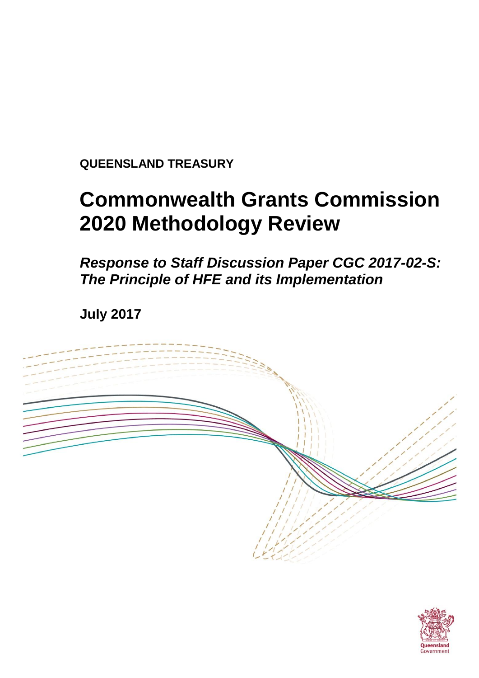**QUEENSLAND TREASURY**

# **Commonwealth Grants Commission 2020 Methodology Review**

*Response to Staff Discussion Paper CGC 2017-02-S: The Principle of HFE and its Implementation*

**July 2017**



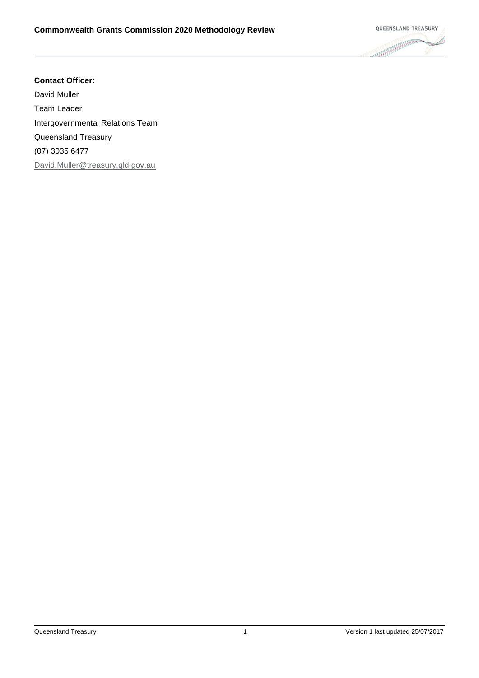#### **Contact Officer:**

David Muller Team Leader Intergovernmental Relations Team Queensland Treasury (07) 3035 6477 [David.Muller@treasury.qld.gov.au](mailto:matthew.nalder@treasury.qld.gov.au)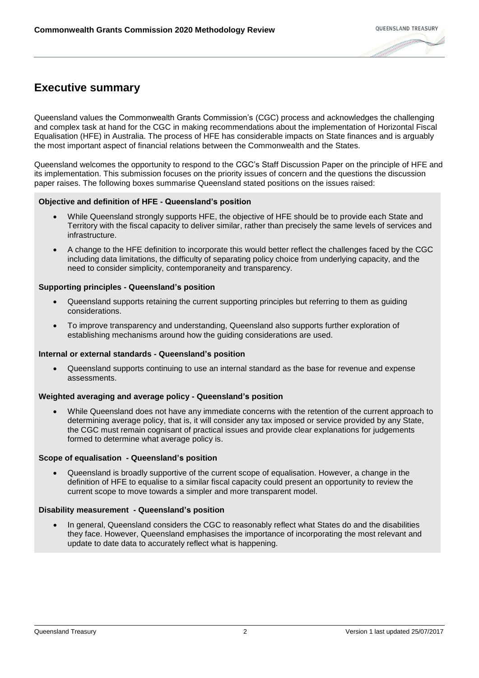# **Executive summary**

Queensland values the Commonwealth Grants Commission's (CGC) process and acknowledges the challenging and complex task at hand for the CGC in making recommendations about the implementation of Horizontal Fiscal Equalisation (HFE) in Australia. The process of HFE has considerable impacts on State finances and is arguably the most important aspect of financial relations between the Commonwealth and the States.

Queensland welcomes the opportunity to respond to the CGC's Staff Discussion Paper on the principle of HFE and its implementation. This submission focuses on the priority issues of concern and the questions the discussion paper raises. The following boxes summarise Queensland stated positions on the issues raised:

#### **Objective and definition of HFE - Queensland's position**

- While Queensland strongly supports HFE, the objective of HFE should be to provide each State and Territory with the fiscal capacity to deliver similar, rather than precisely the same levels of services and infrastructure.
- A change to the HFE definition to incorporate this would better reflect the challenges faced by the CGC including data limitations, the difficulty of separating policy choice from underlying capacity, and the need to consider simplicity, contemporaneity and transparency.

#### **Supporting principles - Queensland's position**

- Queensland supports retaining the current supporting principles but referring to them as guiding considerations.
- To improve transparency and understanding, Queensland also supports further exploration of establishing mechanisms around how the guiding considerations are used.

#### **Internal or external standards - Queensland's position**

 Queensland supports continuing to use an internal standard as the base for revenue and expense assessments.

#### **Weighted averaging and average policy - Queensland's position**

 While Queensland does not have any immediate concerns with the retention of the current approach to determining average policy, that is, it will consider any tax imposed or service provided by any State, the CGC must remain cognisant of practical issues and provide clear explanations for judgements formed to determine what average policy is.

#### **Scope of equalisation - Queensland's position**

 Queensland is broadly supportive of the current scope of equalisation. However, a change in the definition of HFE to equalise to a similar fiscal capacity could present an opportunity to review the current scope to move towards a simpler and more transparent model.

#### **Disability measurement - Queensland's position**

 In general, Queensland considers the CGC to reasonably reflect what States do and the disabilities they face. However, Queensland emphasises the importance of incorporating the most relevant and update to date data to accurately reflect what is happening.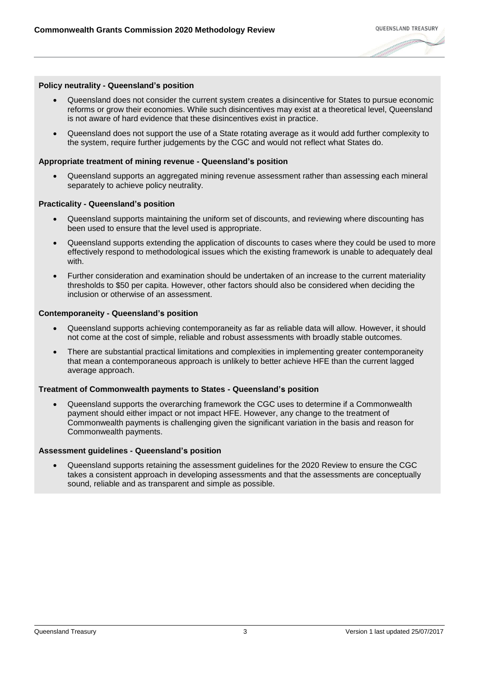#### **Policy neutrality - Queensland's position**

- Queensland does not consider the current system creates a disincentive for States to pursue economic reforms or grow their economies. While such disincentives may exist at a theoretical level, Queensland is not aware of hard evidence that these disincentives exist in practice.
- Queensland does not support the use of a State rotating average as it would add further complexity to the system, require further judgements by the CGC and would not reflect what States do.

#### **Appropriate treatment of mining revenue - Queensland's position**

 Queensland supports an aggregated mining revenue assessment rather than assessing each mineral separately to achieve policy neutrality.

#### **Practicality - Queensland's position**

- Queensland supports maintaining the uniform set of discounts, and reviewing where discounting has been used to ensure that the level used is appropriate.
- Queensland supports extending the application of discounts to cases where they could be used to more effectively respond to methodological issues which the existing framework is unable to adequately deal with.
- Further consideration and examination should be undertaken of an increase to the current materiality thresholds to \$50 per capita. However, other factors should also be considered when deciding the inclusion or otherwise of an assessment.

#### **Contemporaneity - Queensland's position**

- Queensland supports achieving contemporaneity as far as reliable data will allow. However, it should not come at the cost of simple, reliable and robust assessments with broadly stable outcomes.
- There are substantial practical limitations and complexities in implementing greater contemporaneity that mean a contemporaneous approach is unlikely to better achieve HFE than the current lagged average approach.

#### **Treatment of Commonwealth payments to States - Queensland's position**

 Queensland supports the overarching framework the CGC uses to determine if a Commonwealth payment should either impact or not impact HFE. However, any change to the treatment of Commonwealth payments is challenging given the significant variation in the basis and reason for Commonwealth payments.

#### **Assessment guidelines - Queensland's position**

 Queensland supports retaining the assessment guidelines for the 2020 Review to ensure the CGC takes a consistent approach in developing assessments and that the assessments are conceptually sound, reliable and as transparent and simple as possible.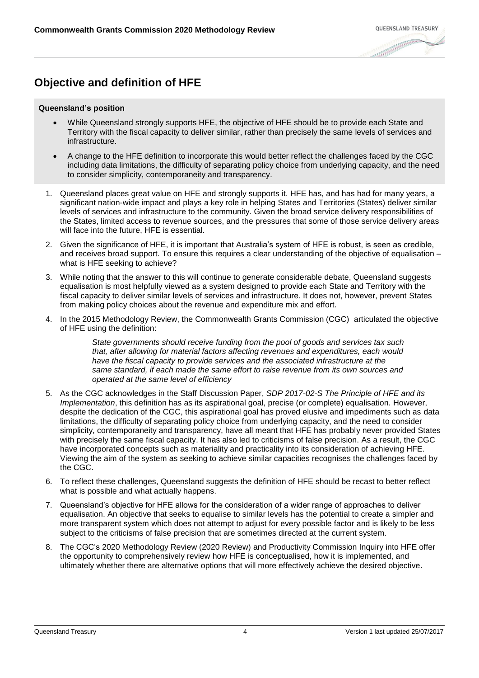# **Objective and definition of HFE**

#### **Queensland's position**

- While Queensland strongly supports HFE, the objective of HFE should be to provide each State and Territory with the fiscal capacity to deliver similar, rather than precisely the same levels of services and infrastructure.
- A change to the HFE definition to incorporate this would better reflect the challenges faced by the CGC including data limitations, the difficulty of separating policy choice from underlying capacity, and the need to consider simplicity, contemporaneity and transparency.
- 1. Queensland places great value on HFE and strongly supports it. HFE has, and has had for many years, a significant nation-wide impact and plays a key role in helping States and Territories (States) deliver similar levels of services and infrastructure to the community. Given the broad service delivery responsibilities of the States, limited access to revenue sources, and the pressures that some of those service delivery areas will face into the future, HFE is essential.
- 2. Given the significance of HFE, it is important that Australia's system of HFE is robust, is seen as credible, and receives broad support. To ensure this requires a clear understanding of the objective of equalisation – what is HFE seeking to achieve?
- 3. While noting that the answer to this will continue to generate considerable debate, Queensland suggests equalisation is most helpfully viewed as a system designed to provide each State and Territory with the fiscal capacity to deliver similar levels of services and infrastructure. It does not, however, prevent States from making policy choices about the revenue and expenditure mix and effort.
- 4. In the 2015 Methodology Review, the Commonwealth Grants Commission (CGC) articulated the objective of HFE using the definition:

*State governments should receive funding from the pool of goods and services tax such that, after allowing for material factors affecting revenues and expenditures, each would have the fiscal capacity to provide services and the associated infrastructure at the same standard, if each made the same effort to raise revenue from its own sources and operated at the same level of efficiency* 

- 5. As the CGC acknowledges in the Staff Discussion Paper, *SDP 2017-02-S The Principle of HFE and its Implementation*, this definition has as its aspirational goal, precise (or complete) equalisation. However, despite the dedication of the CGC, this aspirational goal has proved elusive and impediments such as data limitations, the difficulty of separating policy choice from underlying capacity, and the need to consider simplicity, contemporaneity and transparency, have all meant that HFE has probably never provided States with precisely the same fiscal capacity. It has also led to criticisms of false precision. As a result, the CGC have incorporated concepts such as materiality and practicality into its consideration of achieving HFE. Viewing the aim of the system as seeking to achieve similar capacities recognises the challenges faced by the CGC.
- 6. To reflect these challenges, Queensland suggests the definition of HFE should be recast to better reflect what is possible and what actually happens.
- 7. Queensland's objective for HFE allows for the consideration of a wider range of approaches to deliver equalisation. An objective that seeks to equalise to similar levels has the potential to create a simpler and more transparent system which does not attempt to adjust for every possible factor and is likely to be less subject to the criticisms of false precision that are sometimes directed at the current system.
- 8. The CGC's 2020 Methodology Review (2020 Review) and Productivity Commission Inquiry into HFE offer the opportunity to comprehensively review how HFE is conceptualised, how it is implemented, and ultimately whether there are alternative options that will more effectively achieve the desired objective.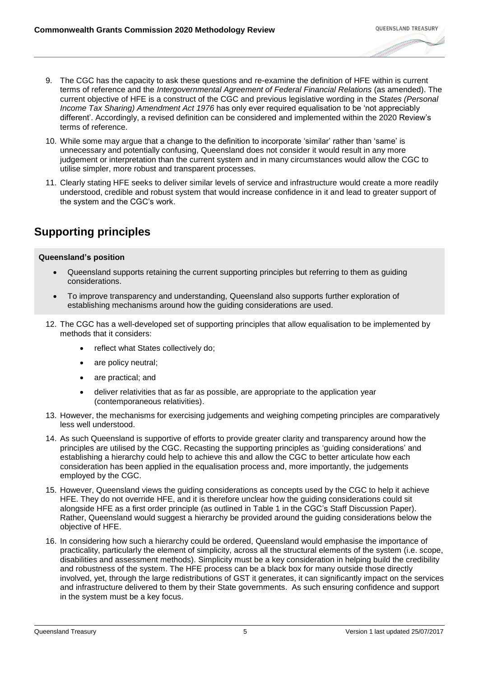- 9. The CGC has the capacity to ask these questions and re-examine the definition of HFE within is current terms of reference and the *Intergovernmental Agreement of Federal Financial Relations* (as amended). The current objective of HFE is a construct of the CGC and previous legislative wording in the *States (Personal Income Tax Sharing) Amendment Act 1976* has only ever required equalisation to be 'not appreciably different'. Accordingly, a revised definition can be considered and implemented within the 2020 Review's terms of reference.
- 10. While some may argue that a change to the definition to incorporate 'similar' rather than 'same' is unnecessary and potentially confusing, Queensland does not consider it would result in any more judgement or interpretation than the current system and in many circumstances would allow the CGC to utilise simpler, more robust and transparent processes.
- 11. Clearly stating HFE seeks to deliver similar levels of service and infrastructure would create a more readily understood, credible and robust system that would increase confidence in it and lead to greater support of the system and the CGC's work.

# **Supporting principles**

- Queensland supports retaining the current supporting principles but referring to them as guiding considerations.
- To improve transparency and understanding, Queensland also supports further exploration of establishing mechanisms around how the guiding considerations are used.
- 12. The CGC has a well-developed set of supporting principles that allow equalisation to be implemented by methods that it considers:
	- reflect what States collectively do;
	- are policy neutral;
	- are practical; and
	- deliver relativities that as far as possible, are appropriate to the application year (contemporaneous relativities).
- 13. However, the mechanisms for exercising judgements and weighing competing principles are comparatively less well understood.
- 14. As such Queensland is supportive of efforts to provide greater clarity and transparency around how the principles are utilised by the CGC. Recasting the supporting principles as 'guiding considerations' and establishing a hierarchy could help to achieve this and allow the CGC to better articulate how each consideration has been applied in the equalisation process and, more importantly, the judgements employed by the CGC.
- 15. However, Queensland views the guiding considerations as concepts used by the CGC to help it achieve HFE. They do not override HFE, and it is therefore unclear how the guiding considerations could sit alongside HFE as a first order principle (as outlined in Table 1 in the CGC's Staff Discussion Paper). Rather, Queensland would suggest a hierarchy be provided around the guiding considerations below the objective of HFE.
- 16. In considering how such a hierarchy could be ordered, Queensland would emphasise the importance of practicality, particularly the element of simplicity, across all the structural elements of the system (i.e. scope, disabilities and assessment methods). Simplicity must be a key consideration in helping build the credibility and robustness of the system. The HFE process can be a black box for many outside those directly involved, yet, through the large redistributions of GST it generates, it can significantly impact on the services and infrastructure delivered to them by their State governments. As such ensuring confidence and support in the system must be a key focus.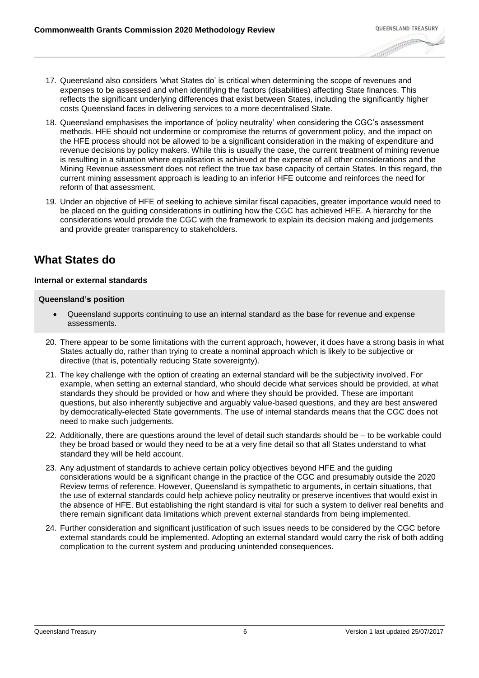- 17. Queensland also considers 'what States do' is critical when determining the scope of revenues and expenses to be assessed and when identifying the factors (disabilities) affecting State finances. This reflects the significant underlying differences that exist between States, including the significantly higher costs Queensland faces in delivering services to a more decentralised State.
- 18. Queensland emphasises the importance of 'policy neutrality' when considering the CGC's assessment methods. HFE should not undermine or compromise the returns of government policy, and the impact on the HFE process should not be allowed to be a significant consideration in the making of expenditure and revenue decisions by policy makers. While this is usually the case, the current treatment of mining revenue is resulting in a situation where equalisation is achieved at the expense of all other considerations and the Mining Revenue assessment does not reflect the true tax base capacity of certain States. In this regard, the current mining assessment approach is leading to an inferior HFE outcome and reinforces the need for reform of that assessment.
- 19. Under an objective of HFE of seeking to achieve similar fiscal capacities, greater importance would need to be placed on the guiding considerations in outlining how the CGC has achieved HFE. A hierarchy for the considerations would provide the CGC with the framework to explain its decision making and judgements and provide greater transparency to stakeholders.

# **What States do**

#### **Internal or external standards**

- Queensland supports continuing to use an internal standard as the base for revenue and expense assessments.
- 20. There appear to be some limitations with the current approach, however, it does have a strong basis in what States actually do, rather than trying to create a nominal approach which is likely to be subjective or directive (that is, potentially reducing State sovereignty).
- 21. The key challenge with the option of creating an external standard will be the subjectivity involved. For example, when setting an external standard, who should decide what services should be provided, at what standards they should be provided or how and where they should be provided. These are important questions, but also inherently subjective and arguably value-based questions, and they are best answered by democratically-elected State governments. The use of internal standards means that the CGC does not need to make such judgements.
- 22. Additionally, there are questions around the level of detail such standards should be to be workable could they be broad based or would they need to be at a very fine detail so that all States understand to what standard they will be held account.
- 23. Any adjustment of standards to achieve certain policy objectives beyond HFE and the guiding considerations would be a significant change in the practice of the CGC and presumably outside the 2020 Review terms of reference. However, Queensland is sympathetic to arguments, in certain situations, that the use of external standards could help achieve policy neutrality or preserve incentives that would exist in the absence of HFE. But establishing the right standard is vital for such a system to deliver real benefits and there remain significant data limitations which prevent external standards from being implemented.
- 24. Further consideration and significant justification of such issues needs to be considered by the CGC before external standards could be implemented. Adopting an external standard would carry the risk of both adding complication to the current system and producing unintended consequences.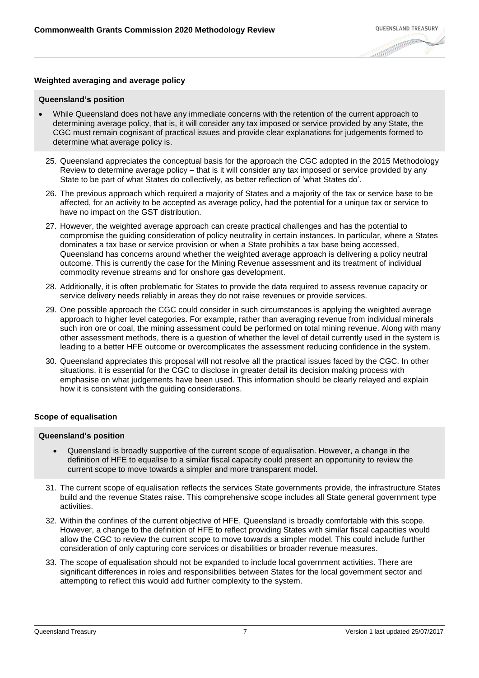#### **Weighted averaging and average policy**

#### **Queensland's position**

- While Queensland does not have any immediate concerns with the retention of the current approach to determining average policy, that is, it will consider any tax imposed or service provided by any State, the CGC must remain cognisant of practical issues and provide clear explanations for judgements formed to determine what average policy is.
- 25. Queensland appreciates the conceptual basis for the approach the CGC adopted in the 2015 Methodology Review to determine average policy – that is it will consider any tax imposed or service provided by any State to be part of what States do collectively, as better reflection of 'what States do'.
- 26. The previous approach which required a majority of States and a majority of the tax or service base to be affected, for an activity to be accepted as average policy, had the potential for a unique tax or service to have no impact on the GST distribution.
- 27. However, the weighted average approach can create practical challenges and has the potential to compromise the guiding consideration of policy neutrality in certain instances. In particular, where a States dominates a tax base or service provision or when a State prohibits a tax base being accessed, Queensland has concerns around whether the weighted average approach is delivering a policy neutral outcome. This is currently the case for the Mining Revenue assessment and its treatment of individual commodity revenue streams and for onshore gas development.
- 28. Additionally, it is often problematic for States to provide the data required to assess revenue capacity or service delivery needs reliably in areas they do not raise revenues or provide services.
- 29. One possible approach the CGC could consider in such circumstances is applying the weighted average approach to higher level categories. For example, rather than averaging revenue from individual minerals such iron ore or coal, the mining assessment could be performed on total mining revenue. Along with many other assessment methods, there is a question of whether the level of detail currently used in the system is leading to a better HFE outcome or overcomplicates the assessment reducing confidence in the system.
- 30. Queensland appreciates this proposal will not resolve all the practical issues faced by the CGC. In other situations, it is essential for the CGC to disclose in greater detail its decision making process with emphasise on what judgements have been used. This information should be clearly relayed and explain how it is consistent with the guiding considerations.

#### **Scope of equalisation**

- Queensland is broadly supportive of the current scope of equalisation. However, a change in the definition of HFE to equalise to a similar fiscal capacity could present an opportunity to review the current scope to move towards a simpler and more transparent model.
- 31. The current scope of equalisation reflects the services State governments provide, the infrastructure States build and the revenue States raise. This comprehensive scope includes all State general government type activities.
- 32. Within the confines of the current objective of HFE, Queensland is broadly comfortable with this scope. However, a change to the definition of HFE to reflect providing States with similar fiscal capacities would allow the CGC to review the current scope to move towards a simpler model. This could include further consideration of only capturing core services or disabilities or broader revenue measures.
- 33. The scope of equalisation should not be expanded to include local government activities. There are significant differences in roles and responsibilities between States for the local government sector and attempting to reflect this would add further complexity to the system.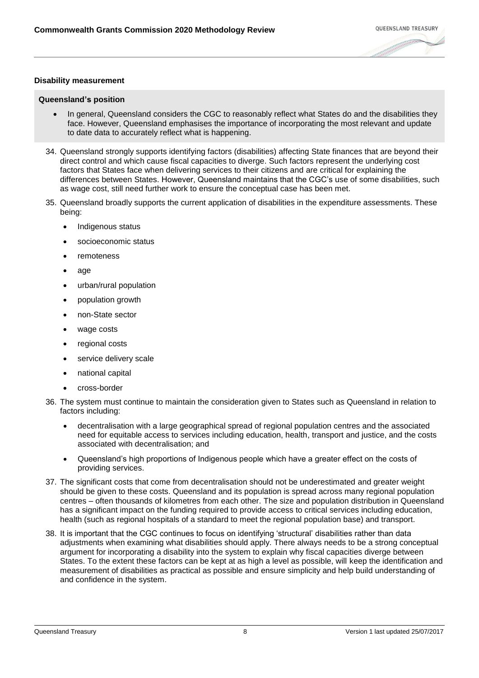#### **Disability measurement**

- In general, Queensland considers the CGC to reasonably reflect what States do and the disabilities they face. However, Queensland emphasises the importance of incorporating the most relevant and update to date data to accurately reflect what is happening.
- 34. Queensland strongly supports identifying factors (disabilities) affecting State finances that are beyond their direct control and which cause fiscal capacities to diverge. Such factors represent the underlying cost factors that States face when delivering services to their citizens and are critical for explaining the differences between States. However, Queensland maintains that the CGC's use of some disabilities, such as wage cost, still need further work to ensure the conceptual case has been met.
- 35. Queensland broadly supports the current application of disabilities in the expenditure assessments. These being:
	- Indigenous status
	- socioeconomic status
	- remoteness
	- age
	- urban/rural population
	- population growth
	- non-State sector
	- wage costs
	- regional costs
	- service delivery scale
	- national capital
	- cross-border
- 36. The system must continue to maintain the consideration given to States such as Queensland in relation to factors including:
	- decentralisation with a large geographical spread of regional population centres and the associated need for equitable access to services including education, health, transport and justice, and the costs associated with decentralisation; and
	- Queensland's high proportions of Indigenous people which have a greater effect on the costs of providing services.
- 37. The significant costs that come from decentralisation should not be underestimated and greater weight should be given to these costs. Queensland and its population is spread across many regional population centres – often thousands of kilometres from each other. The size and population distribution in Queensland has a significant impact on the funding required to provide access to critical services including education, health (such as regional hospitals of a standard to meet the regional population base) and transport.
- 38. It is important that the CGC continues to focus on identifying 'structural' disabilities rather than data adjustments when examining what disabilities should apply. There always needs to be a strong conceptual argument for incorporating a disability into the system to explain why fiscal capacities diverge between States. To the extent these factors can be kept at as high a level as possible, will keep the identification and measurement of disabilities as practical as possible and ensure simplicity and help build understanding of and confidence in the system.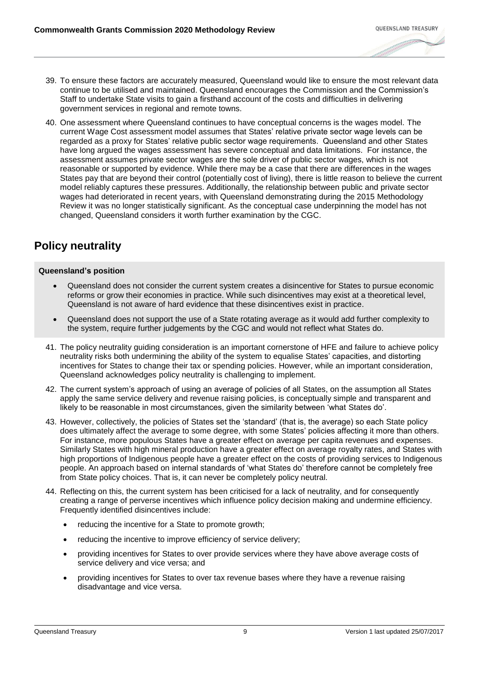- 39. To ensure these factors are accurately measured, Queensland would like to ensure the most relevant data continue to be utilised and maintained. Queensland encourages the Commission and the Commission's Staff to undertake State visits to gain a firsthand account of the costs and difficulties in delivering government services in regional and remote towns.
- 40. One assessment where Queensland continues to have conceptual concerns is the wages model. The current Wage Cost assessment model assumes that States' relative private sector wage levels can be regarded as a proxy for States' relative public sector wage requirements. Queensland and other States have long argued the wages assessment has severe conceptual and data limitations. For instance, the assessment assumes private sector wages are the sole driver of public sector wages, which is not reasonable or supported by evidence. While there may be a case that there are differences in the wages States pay that are beyond their control (potentially cost of living), there is little reason to believe the current model reliably captures these pressures. Additionally, the relationship between public and private sector wages had deteriorated in recent years, with Queensland demonstrating during the 2015 Methodology Review it was no longer statistically significant. As the conceptual case underpinning the model has not changed, Queensland considers it worth further examination by the CGC.

# **Policy neutrality**

- Queensland does not consider the current system creates a disincentive for States to pursue economic reforms or grow their economies in practice. While such disincentives may exist at a theoretical level, Queensland is not aware of hard evidence that these disincentives exist in practice.
- Queensland does not support the use of a State rotating average as it would add further complexity to the system, require further judgements by the CGC and would not reflect what States do.
- 41. The policy neutrality guiding consideration is an important cornerstone of HFE and failure to achieve policy neutrality risks both undermining the ability of the system to equalise States' capacities, and distorting incentives for States to change their tax or spending policies. However, while an important consideration, Queensland acknowledges policy neutrality is challenging to implement.
- 42. The current system's approach of using an average of policies of all States, on the assumption all States apply the same service delivery and revenue raising policies, is conceptually simple and transparent and likely to be reasonable in most circumstances, given the similarity between 'what States do'.
- 43. However, collectively, the policies of States set the 'standard' (that is, the average) so each State policy does ultimately affect the average to some degree, with some States' policies affecting it more than others. For instance, more populous States have a greater effect on average per capita revenues and expenses. Similarly States with high mineral production have a greater effect on average royalty rates, and States with high proportions of Indigenous people have a greater effect on the costs of providing services to Indigenous people. An approach based on internal standards of 'what States do' therefore cannot be completely free from State policy choices. That is, it can never be completely policy neutral.
- 44. Reflecting on this, the current system has been criticised for a lack of neutrality, and for consequently creating a range of perverse incentives which influence policy decision making and undermine efficiency. Frequently identified disincentives include:
	- reducing the incentive for a State to promote growth;
	- reducing the incentive to improve efficiency of service delivery;
	- providing incentives for States to over provide services where they have above average costs of service delivery and vice versa; and
	- providing incentives for States to over tax revenue bases where they have a revenue raising disadvantage and vice versa.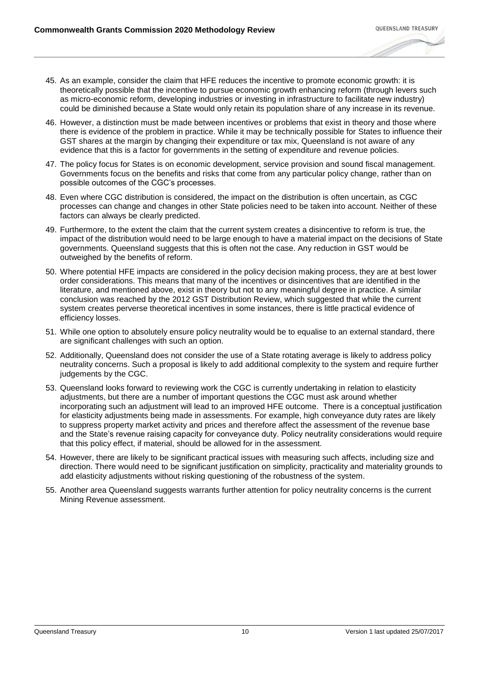- 45. As an example, consider the claim that HFE reduces the incentive to promote economic growth: it is theoretically possible that the incentive to pursue economic growth enhancing reform (through levers such as micro-economic reform, developing industries or investing in infrastructure to facilitate new industry) could be diminished because a State would only retain its population share of any increase in its revenue.
- 46. However, a distinction must be made between incentives or problems that exist in theory and those where there is evidence of the problem in practice. While it may be technically possible for States to influence their GST shares at the margin by changing their expenditure or tax mix, Queensland is not aware of any evidence that this is a factor for governments in the setting of expenditure and revenue policies.
- 47. The policy focus for States is on economic development, service provision and sound fiscal management. Governments focus on the benefits and risks that come from any particular policy change, rather than on possible outcomes of the CGC's processes.
- 48. Even where CGC distribution is considered, the impact on the distribution is often uncertain, as CGC processes can change and changes in other State policies need to be taken into account. Neither of these factors can always be clearly predicted.
- 49. Furthermore, to the extent the claim that the current system creates a disincentive to reform is true, the impact of the distribution would need to be large enough to have a material impact on the decisions of State governments. Queensland suggests that this is often not the case. Any reduction in GST would be outweighed by the benefits of reform.
- 50. Where potential HFE impacts are considered in the policy decision making process, they are at best lower order considerations. This means that many of the incentives or disincentives that are identified in the literature, and mentioned above, exist in theory but not to any meaningful degree in practice. A similar conclusion was reached by the 2012 GST Distribution Review, which suggested that while the current system creates perverse theoretical incentives in some instances, there is little practical evidence of efficiency losses.
- 51. While one option to absolutely ensure policy neutrality would be to equalise to an external standard, there are significant challenges with such an option.
- 52. Additionally, Queensland does not consider the use of a State rotating average is likely to address policy neutrality concerns. Such a proposal is likely to add additional complexity to the system and require further judgements by the CGC.
- 53. Queensland looks forward to reviewing work the CGC is currently undertaking in relation to elasticity adjustments, but there are a number of important questions the CGC must ask around whether incorporating such an adjustment will lead to an improved HFE outcome. There is a conceptual justification for elasticity adjustments being made in assessments. For example, high conveyance duty rates are likely to suppress property market activity and prices and therefore affect the assessment of the revenue base and the State's revenue raising capacity for conveyance duty. Policy neutrality considerations would require that this policy effect, if material, should be allowed for in the assessment.
- 54. However, there are likely to be significant practical issues with measuring such affects, including size and direction. There would need to be significant justification on simplicity, practicality and materiality grounds to add elasticity adjustments without risking questioning of the robustness of the system.
- 55. Another area Queensland suggests warrants further attention for policy neutrality concerns is the current Mining Revenue assessment.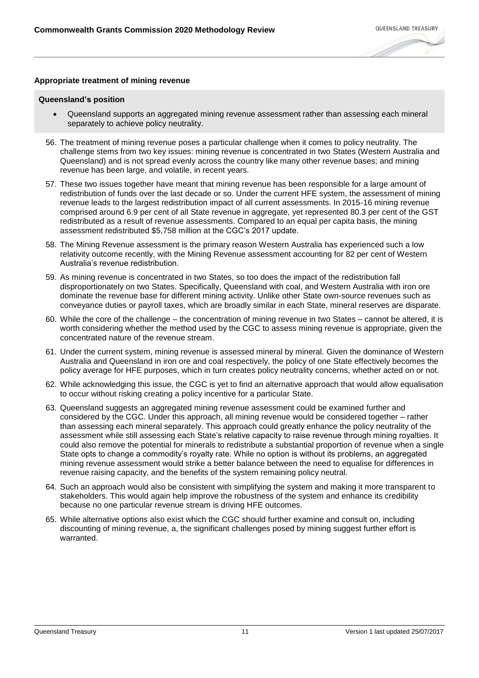#### **Appropriate treatment of mining revenue**

- Queensland supports an aggregated mining revenue assessment rather than assessing each mineral separately to achieve policy neutrality.
- 56. The treatment of mining revenue poses a particular challenge when it comes to policy neutrality. The challenge stems from two key issues: mining revenue is concentrated in two States (Western Australia and Queensland) and is not spread evenly across the country like many other revenue bases; and mining revenue has been large, and volatile, in recent years.
- 57. These two issues together have meant that mining revenue has been responsible for a large amount of redistribution of funds over the last decade or so. Under the current HFE system, the assessment of mining revenue leads to the largest redistribution impact of all current assessments. In 2015-16 mining revenue comprised around 6.9 per cent of all State revenue in aggregate, yet represented 80.3 per cent of the GST redistributed as a result of revenue assessments. Compared to an equal per capita basis, the mining assessment redistributed \$5,758 million at the CGC's 2017 update.
- 58. The Mining Revenue assessment is the primary reason Western Australia has experienced such a low relativity outcome recently, with the Mining Revenue assessment accounting for 82 per cent of Western Australia's revenue redistribution.
- 59. As mining revenue is concentrated in two States, so too does the impact of the redistribution fall disproportionately on two States. Specifically, Queensland with coal, and Western Australia with iron ore dominate the revenue base for different mining activity. Unlike other State own-source revenues such as conveyance duties or payroll taxes, which are broadly similar in each State, mineral reserves are disparate.
- 60. While the core of the challenge the concentration of mining revenue in two States cannot be altered, it is worth considering whether the method used by the CGC to assess mining revenue is appropriate, given the concentrated nature of the revenue stream.
- 61. Under the current system, mining revenue is assessed mineral by mineral. Given the dominance of Western Australia and Queensland in iron ore and coal respectively, the policy of one State effectively becomes the policy average for HFE purposes, which in turn creates policy neutrality concerns, whether acted on or not.
- 62. While acknowledging this issue, the CGC is yet to find an alternative approach that would allow equalisation to occur without risking creating a policy incentive for a particular State.
- 63. Queensland suggests an aggregated mining revenue assessment could be examined further and considered by the CGC. Under this approach, all mining revenue would be considered together – rather than assessing each mineral separately. This approach could greatly enhance the policy neutrality of the assessment while still assessing each State's relative capacity to raise revenue through mining royalties. It could also remove the potential for minerals to redistribute a substantial proportion of revenue when a single State opts to change a commodity's royalty rate. While no option is without its problems, an aggregated mining revenue assessment would strike a better balance between the need to equalise for differences in revenue raising capacity, and the benefits of the system remaining policy neutral.
- 64. Such an approach would also be consistent with simplifying the system and making it more transparent to stakeholders. This would again help improve the robustness of the system and enhance its credibility because no one particular revenue stream is driving HFE outcomes.
- 65. While alternative options also exist which the CGC should further examine and consult on, including discounting of mining revenue, a, the significant challenges posed by mining suggest further effort is warranted.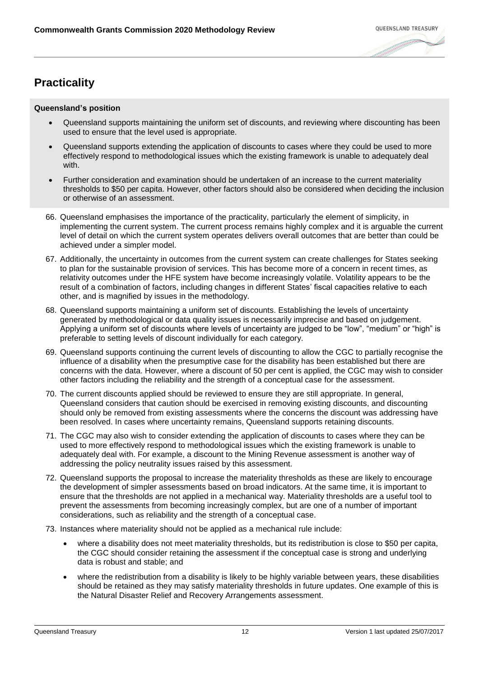# **Practicality**

- Queensland supports maintaining the uniform set of discounts, and reviewing where discounting has been used to ensure that the level used is appropriate.
- Queensland supports extending the application of discounts to cases where they could be used to more effectively respond to methodological issues which the existing framework is unable to adequately deal with.
- Further consideration and examination should be undertaken of an increase to the current materiality thresholds to \$50 per capita. However, other factors should also be considered when deciding the inclusion or otherwise of an assessment.
- 66. Queensland emphasises the importance of the practicality, particularly the element of simplicity, in implementing the current system. The current process remains highly complex and it is arguable the current level of detail on which the current system operates delivers overall outcomes that are better than could be achieved under a simpler model.
- 67. Additionally, the uncertainty in outcomes from the current system can create challenges for States seeking to plan for the sustainable provision of services. This has become more of a concern in recent times, as relativity outcomes under the HFE system have become increasingly volatile. Volatility appears to be the result of a combination of factors, including changes in different States' fiscal capacities relative to each other, and is magnified by issues in the methodology.
- 68. Queensland supports maintaining a uniform set of discounts. Establishing the levels of uncertainty generated by methodological or data quality issues is necessarily imprecise and based on judgement. Applying a uniform set of discounts where levels of uncertainty are judged to be "low", "medium" or "high" is preferable to setting levels of discount individually for each category.
- 69. Queensland supports continuing the current levels of discounting to allow the CGC to partially recognise the influence of a disability when the presumptive case for the disability has been established but there are concerns with the data. However, where a discount of 50 per cent is applied, the CGC may wish to consider other factors including the reliability and the strength of a conceptual case for the assessment.
- 70. The current discounts applied should be reviewed to ensure they are still appropriate. In general, Queensland considers that caution should be exercised in removing existing discounts, and discounting should only be removed from existing assessments where the concerns the discount was addressing have been resolved. In cases where uncertainty remains, Queensland supports retaining discounts.
- 71. The CGC may also wish to consider extending the application of discounts to cases where they can be used to more effectively respond to methodological issues which the existing framework is unable to adequately deal with. For example, a discount to the Mining Revenue assessment is another way of addressing the policy neutrality issues raised by this assessment.
- 72. Queensland supports the proposal to increase the materiality thresholds as these are likely to encourage the development of simpler assessments based on broad indicators. At the same time, it is important to ensure that the thresholds are not applied in a mechanical way. Materiality thresholds are a useful tool to prevent the assessments from becoming increasingly complex, but are one of a number of important considerations, such as reliability and the strength of a conceptual case.
- 73. Instances where materiality should not be applied as a mechanical rule include:
	- where a disability does not meet materiality thresholds, but its redistribution is close to \$50 per capita, the CGC should consider retaining the assessment if the conceptual case is strong and underlying data is robust and stable; and
	- where the redistribution from a disability is likely to be highly variable between years, these disabilities should be retained as they may satisfy materiality thresholds in future updates. One example of this is the Natural Disaster Relief and Recovery Arrangements assessment.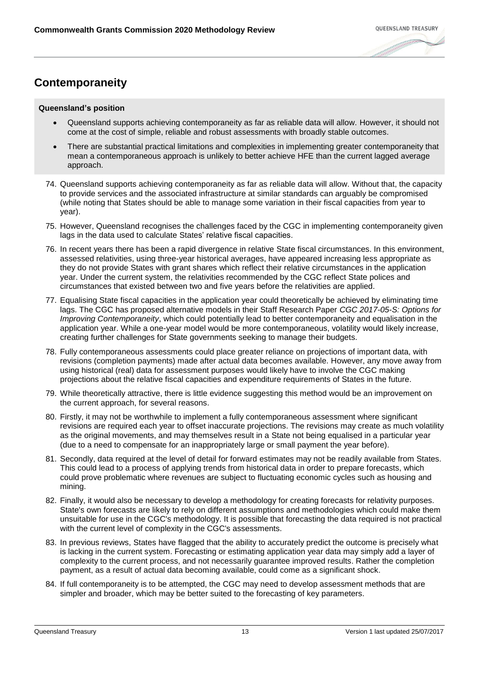# **Contemporaneity**

- Queensland supports achieving contemporaneity as far as reliable data will allow. However, it should not come at the cost of simple, reliable and robust assessments with broadly stable outcomes.
- There are substantial practical limitations and complexities in implementing greater contemporaneity that mean a contemporaneous approach is unlikely to better achieve HFE than the current lagged average approach.
- 74. Queensland supports achieving contemporaneity as far as reliable data will allow. Without that, the capacity to provide services and the associated infrastructure at similar standards can arguably be compromised (while noting that States should be able to manage some variation in their fiscal capacities from year to year).
- 75. However, Queensland recognises the challenges faced by the CGC in implementing contemporaneity given lags in the data used to calculate States' relative fiscal capacities.
- 76. In recent years there has been a rapid divergence in relative State fiscal circumstances. In this environment, assessed relativities, using three-year historical averages, have appeared increasing less appropriate as they do not provide States with grant shares which reflect their relative circumstances in the application year. Under the current system, the relativities recommended by the CGC reflect State polices and circumstances that existed between two and five years before the relativities are applied.
- 77. Equalising State fiscal capacities in the application year could theoretically be achieved by eliminating time lags. The CGC has proposed alternative models in their Staff Research Paper *CGC 2017-05-S: Options for Improving Contemporaneity*, which could potentially lead to better contemporaneity and equalisation in the application year. While a one-year model would be more contemporaneous, volatility would likely increase, creating further challenges for State governments seeking to manage their budgets.
- 78. Fully contemporaneous assessments could place greater reliance on projections of important data, with revisions (completion payments) made after actual data becomes available. However, any move away from using historical (real) data for assessment purposes would likely have to involve the CGC making projections about the relative fiscal capacities and expenditure requirements of States in the future.
- 79. While theoretically attractive, there is little evidence suggesting this method would be an improvement on the current approach, for several reasons.
- 80. Firstly, it may not be worthwhile to implement a fully contemporaneous assessment where significant revisions are required each year to offset inaccurate projections. The revisions may create as much volatility as the original movements, and may themselves result in a State not being equalised in a particular year (due to a need to compensate for an inappropriately large or small payment the year before).
- 81. Secondly, data required at the level of detail for forward estimates may not be readily available from States. This could lead to a process of applying trends from historical data in order to prepare forecasts, which could prove problematic where revenues are subject to fluctuating economic cycles such as housing and mining.
- 82. Finally, it would also be necessary to develop a methodology for creating forecasts for relativity purposes. State's own forecasts are likely to rely on different assumptions and methodologies which could make them unsuitable for use in the CGC's methodology. It is possible that forecasting the data required is not practical with the current level of complexity in the CGC's assessments.
- 83. In previous reviews, States have flagged that the ability to accurately predict the outcome is precisely what is lacking in the current system. Forecasting or estimating application year data may simply add a layer of complexity to the current process, and not necessarily guarantee improved results. Rather the completion payment, as a result of actual data becoming available, could come as a significant shock.
- 84. If full contemporaneity is to be attempted, the CGC may need to develop assessment methods that are simpler and broader, which may be better suited to the forecasting of key parameters.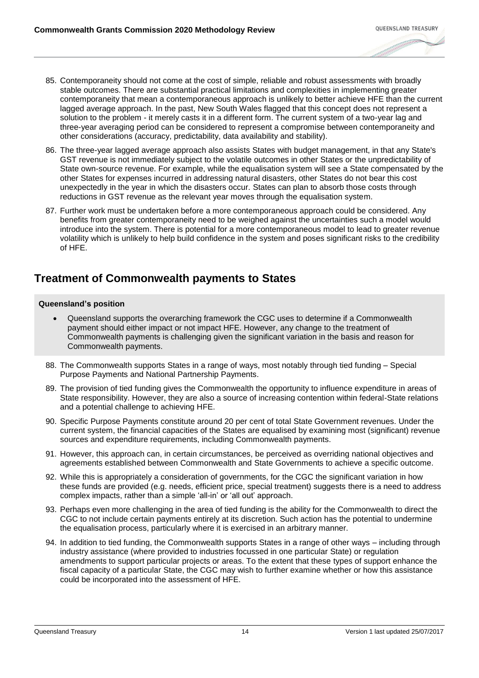- 85. Contemporaneity should not come at the cost of simple, reliable and robust assessments with broadly stable outcomes. There are substantial practical limitations and complexities in implementing greater contemporaneity that mean a contemporaneous approach is unlikely to better achieve HFE than the current lagged average approach. In the past, New South Wales flagged that this concept does not represent a solution to the problem - it merely casts it in a different form. The current system of a two-year lag and three-year averaging period can be considered to represent a compromise between contemporaneity and other considerations (accuracy, predictability, data availability and stability).
- 86. The three-year lagged average approach also assists States with budget management, in that any State's GST revenue is not immediately subject to the volatile outcomes in other States or the unpredictability of State own-source revenue. For example, while the equalisation system will see a State compensated by the other States for expenses incurred in addressing natural disasters, other States do not bear this cost unexpectedly in the year in which the disasters occur. States can plan to absorb those costs through reductions in GST revenue as the relevant year moves through the equalisation system.
- 87. Further work must be undertaken before a more contemporaneous approach could be considered. Any benefits from greater contemporaneity need to be weighed against the uncertainties such a model would introduce into the system. There is potential for a more contemporaneous model to lead to greater revenue volatility which is unlikely to help build confidence in the system and poses significant risks to the credibility of HFE.

### **Treatment of Commonwealth payments to States**

- Queensland supports the overarching framework the CGC uses to determine if a Commonwealth payment should either impact or not impact HFE. However, any change to the treatment of Commonwealth payments is challenging given the significant variation in the basis and reason for Commonwealth payments.
- 88. The Commonwealth supports States in a range of ways, most notably through tied funding Special Purpose Payments and National Partnership Payments.
- 89. The provision of tied funding gives the Commonwealth the opportunity to influence expenditure in areas of State responsibility. However, they are also a source of increasing contention within federal-State relations and a potential challenge to achieving HFE.
- 90. Specific Purpose Payments constitute around 20 per cent of total State Government revenues. Under the current system, the financial capacities of the States are equalised by examining most (significant) revenue sources and expenditure requirements, including Commonwealth payments.
- 91. However, this approach can, in certain circumstances, be perceived as overriding national objectives and agreements established between Commonwealth and State Governments to achieve a specific outcome.
- 92. While this is appropriately a consideration of governments, for the CGC the significant variation in how these funds are provided (e.g. needs, efficient price, special treatment) suggests there is a need to address complex impacts, rather than a simple 'all-in' or 'all out' approach.
- 93. Perhaps even more challenging in the area of tied funding is the ability for the Commonwealth to direct the CGC to not include certain payments entirely at its discretion. Such action has the potential to undermine the equalisation process, particularly where it is exercised in an arbitrary manner.
- 94. In addition to tied funding, the Commonwealth supports States in a range of other ways including through industry assistance (where provided to industries focussed in one particular State) or regulation amendments to support particular projects or areas. To the extent that these types of support enhance the fiscal capacity of a particular State, the CGC may wish to further examine whether or how this assistance could be incorporated into the assessment of HFE.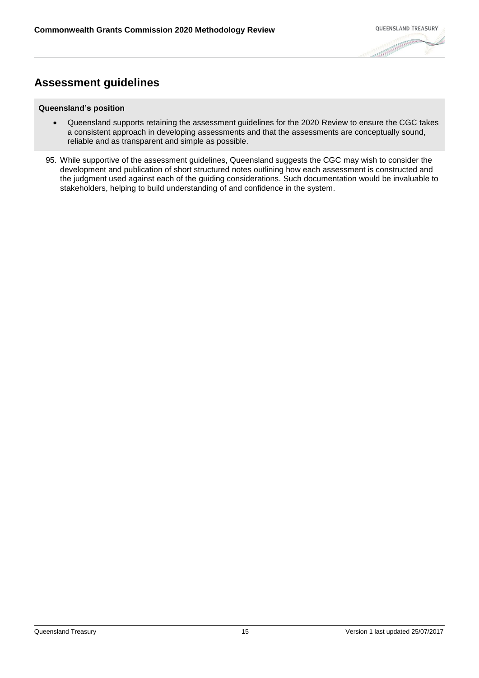# **Assessment guidelines**

- Queensland supports retaining the assessment guidelines for the 2020 Review to ensure the CGC takes a consistent approach in developing assessments and that the assessments are conceptually sound, reliable and as transparent and simple as possible.
- 95. While supportive of the assessment guidelines, Queensland suggests the CGC may wish to consider the development and publication of short structured notes outlining how each assessment is constructed and the judgment used against each of the guiding considerations. Such documentation would be invaluable to stakeholders, helping to build understanding of and confidence in the system.